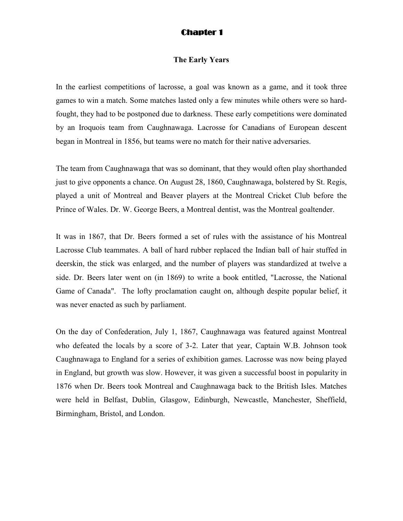### **Chapter 1**

#### **The Early Years**

In the earliest competitions of lacrosse, a goal was known as a game, and it took three games to win a match. Some matches lasted only a few minutes while others were so hardfought, they had to be postponed due to darkness. These early competitions were dominated by an Iroquois team from Caughnawaga. Lacrosse for Canadians of European descent began in Montreal in 1856, but teams were no match for their native adversaries.

The team from Caughnawaga that was so dominant, that they would often play shorthanded just to give opponents a chance. On August 28, 1860, Caughnawaga, bolstered by St. Regis, played a unit of Montreal and Beaver players at the Montreal Cricket Club before the Prince of Wales. Dr. W. George Beers, a Montreal dentist, was the Montreal goaltender.

It was in 1867, that Dr. Beers formed a set of rules with the assistance of his Montreal Lacrosse Club teammates. A ball of hard rubber replaced the Indian ball of hair stuffed in deerskin, the stick was enlarged, and the number of players was standardized at twelve a side. Dr. Beers later went on (in 1869) to write a book entitled, "Lacrosse, the National Game of Canada". The lofty proclamation caught on, although despite popular belief, it was never enacted as such by parliament.

On the day of Confederation, July 1, 1867, Caughnawaga was featured against Montreal who defeated the locals by a score of 3-2. Later that year, Captain W.B. Johnson took Caughnawaga to England for a series of exhibition games. Lacrosse was now being played in England, but growth was slow. However, it was given a successful boost in popularity in 1876 when Dr. Beers took Montreal and Caughnawaga back to the British Isles. Matches were held in Belfast, Dublin, Glasgow, Edinburgh, Newcastle, Manchester, Sheffield, Birmingham, Bristol, and London.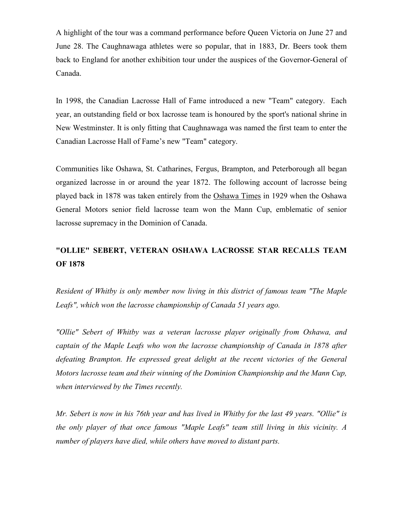A highlight of the tour was a command performance before Queen Victoria on June 27 and June 28. The Caughnawaga athletes were so popular, that in 1883, Dr. Beers took them back to England for another exhibition tour under the auspices of the Governor-General of Canada.

In 1998, the Canadian Lacrosse Hall of Fame introduced a new "Team" category. Each year, an outstanding field or box lacrosse team is honoured by the sport's national shrine in New Westminster. It is only fitting that Caughnawaga was named the first team to enter the Canadian Lacrosse Hall of Fame's new "Team" category.

Communities like Oshawa, St. Catharines, Fergus, Brampton, and Peterborough all began organized lacrosse in or around the year 1872. The following account of lacrosse being played back in 1878 was taken entirely from the Oshawa Times in 1929 when the Oshawa General Motors senior field lacrosse team won the Mann Cup, emblematic of senior lacrosse supremacy in the Dominion of Canada.

# **"OLLIE" SEBERT, VETERAN OSHAWA LACROSSE STAR RECALLS TEAM OF 1878**

*Resident of Whitby is only member now living in this district of famous team "The Maple Leafs", which won the lacrosse championship of Canada 51 years ago.* 

*"Ollie" Sebert of Whitby was a veteran lacrosse player originally from Oshawa, and captain of the Maple Leafs who won the lacrosse championship of Canada in 1878 after defeating Brampton. He expressed great delight at the recent victories of the General Motors lacrosse team and their winning of the Dominion Championship and the Mann Cup, when interviewed by the Times recently.* 

*Mr. Sebert is now in his 76th year and has lived in Whitby for the last 49 years. "Ollie" is the only player of that once famous "Maple Leafs" team still living in this vicinity. A number of players have died, while others have moved to distant parts.*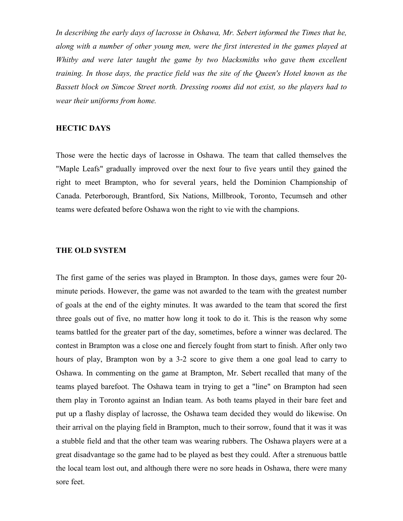*In describing the early days of lacrosse in Oshawa, Mr. Sebert informed the Times that he, along with a number of other young men, were the first interested in the games played at*  Whitby and were later taught the game by two blacksmiths who gave them excellent *training. In those days, the practice field was the site of the Queen's Hotel known as the Bassett block on Simcoe Street north. Dressing rooms did not exist, so the players had to wear their uniforms from home.* 

# **HECTIC DAYS**

Those were the hectic days of lacrosse in Oshawa. The team that called themselves the "Maple Leafs" gradually improved over the next four to five years until they gained the right to meet Brampton, who for several years, held the Dominion Championship of Canada. Peterborough, Brantford, Six Nations, Millbrook, Toronto, Tecumseh and other teams were defeated before Oshawa won the right to vie with the champions.

#### **THE OLD SYSTEM**

The first game of the series was played in Brampton. In those days, games were four 20 minute periods. However, the game was not awarded to the team with the greatest number of goals at the end of the eighty minutes. It was awarded to the team that scored the first three goals out of five, no matter how long it took to do it. This is the reason why some teams battled for the greater part of the day, sometimes, before a winner was declared. The contest in Brampton was a close one and fiercely fought from start to finish. After only two hours of play, Brampton won by a 3-2 score to give them a one goal lead to carry to Oshawa. In commenting on the game at Brampton, Mr. Sebert recalled that many of the teams played barefoot. The Oshawa team in trying to get a "line" on Brampton had seen them play in Toronto against an Indian team. As both teams played in their bare feet and put up a flashy display of lacrosse, the Oshawa team decided they would do likewise. On their arrival on the playing field in Brampton, much to their sorrow, found that it was it was a stubble field and that the other team was wearing rubbers. The Oshawa players were at a great disadvantage so the game had to be played as best they could. After a strenuous battle the local team lost out, and although there were no sore heads in Oshawa, there were many sore feet.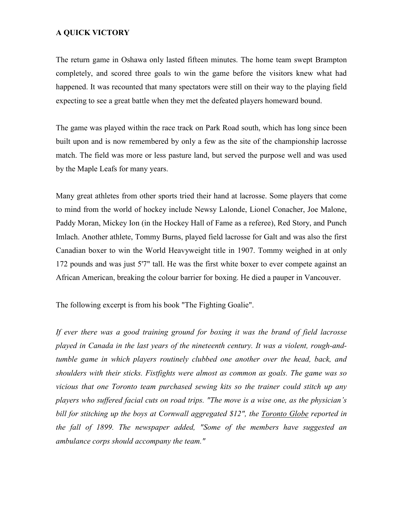# **A QUICK VICTORY**

The return game in Oshawa only lasted fifteen minutes. The home team swept Brampton completely, and scored three goals to win the game before the visitors knew what had happened. It was recounted that many spectators were still on their way to the playing field expecting to see a great battle when they met the defeated players homeward bound.

The game was played within the race track on Park Road south, which has long since been built upon and is now remembered by only a few as the site of the championship lacrosse match. The field was more or less pasture land, but served the purpose well and was used by the Maple Leafs for many years.

Many great athletes from other sports tried their hand at lacrosse. Some players that come to mind from the world of hockey include Newsy Lalonde, Lionel Conacher, Joe Malone, Paddy Moran, Mickey Ion (in the Hockey Hall of Fame as a referee), Red Story, and Punch Imlach. Another athlete, Tommy Burns, played field lacrosse for Galt and was also the first Canadian boxer to win the World Heavyweight title in 1907. Tommy weighed in at only 172 pounds and was just 5'7" tall. He was the first white boxer to ever compete against an African American, breaking the colour barrier for boxing. He died a pauper in Vancouver.

The following excerpt is from his book "The Fighting Goalie".

*If ever there was a good training ground for boxing it was the brand of field lacrosse played in Canada in the last years of the nineteenth century. It was a violent, rough-andtumble game in which players routinely clubbed one another over the head, back, and shoulders with their sticks. Fistfights were almost as common as goals. The game was so vicious that one Toronto team purchased sewing kits so the trainer could stitch up any players who suffered facial cuts on road trips. "The move is a wise one, as the physician's bill for stitching up the boys at Cornwall aggregated \$12", the Toronto Globe reported in the fall of 1899. The newspaper added, "Some of the members have suggested an ambulance corps should accompany the team."*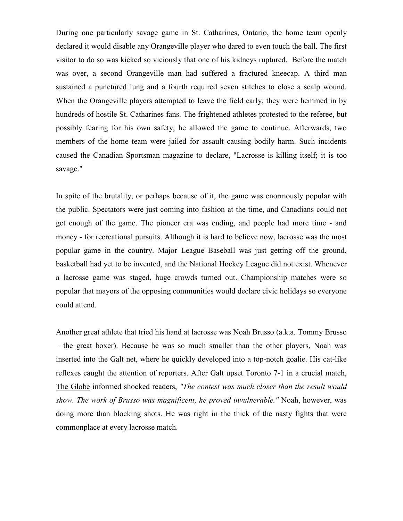During one particularly savage game in St. Catharines, Ontario, the home team openly declared it would disable any Orangeville player who dared to even touch the ball. The first visitor to do so was kicked so viciously that one of his kidneys ruptured. Before the match was over, a second Orangeville man had suffered a fractured kneecap. A third man sustained a punctured lung and a fourth required seven stitches to close a scalp wound. When the Orangeville players attempted to leave the field early, they were hemmed in by hundreds of hostile St. Catharines fans. The frightened athletes protested to the referee, but possibly fearing for his own safety, he allowed the game to continue. Afterwards, two members of the home team were jailed for assault causing bodily harm. Such incidents caused the Canadian Sportsman magazine to declare, "Lacrosse is killing itself; it is too savage."

In spite of the brutality, or perhaps because of it, the game was enormously popular with the public. Spectators were just coming into fashion at the time, and Canadians could not get enough of the game. The pioneer era was ending, and people had more time - and money - for recreational pursuits. Although it is hard to believe now, lacrosse was the most popular game in the country. Major League Baseball was just getting off the ground, basketball had yet to be invented, and the National Hockey League did not exist. Whenever a lacrosse game was staged, huge crowds turned out. Championship matches were so popular that mayors of the opposing communities would declare civic holidays so everyone could attend.

Another great athlete that tried his hand at lacrosse was Noah Brusso (a.k.a. Tommy Brusso – the great boxer). Because he was so much smaller than the other players, Noah was inserted into the Galt net, where he quickly developed into a top-notch goalie. His cat-like reflexes caught the attention of reporters. After Galt upset Toronto 7-1 in a crucial match, The Globe informed shocked readers, *"The contest was much closer than the result would show. The work of Brusso was magnificent, he proved invulnerable."* Noah, however, was doing more than blocking shots. He was right in the thick of the nasty fights that were commonplace at every lacrosse match.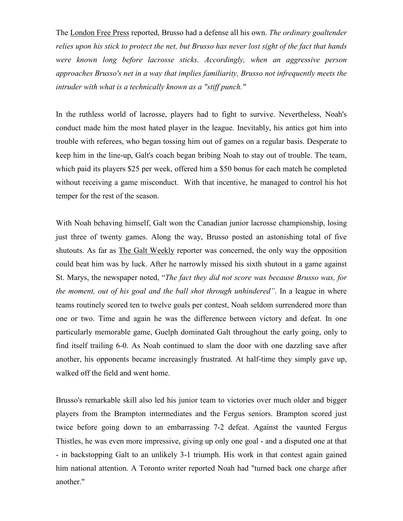The London Free Press reported, Brusso had a defense all his own. *The ordinary goaltender relies upon his stick to protect the net, but Brusso has never lost sight of the fact that hands were known long before lacrosse sticks. Accordingly, when an aggressive person approaches Brusso's net in a way that implies familiarity, Brusso not infrequently meets the intruder with what is a technically known as a "stiff punch."* 

In the ruthless world of lacrosse, players had to fight to survive. Nevertheless, Noah's conduct made him the most hated player in the league. Inevitably, his antics got him into trouble with referees, who began tossing him out of games on a regular basis. Desperate to keep him in the line-up, Galt's coach began bribing Noah to stay out of trouble. The team, which paid its players \$25 per week, offered him a \$50 bonus for each match he completed without receiving a game misconduct. With that incentive, he managed to control his hot temper for the rest of the season.

With Noah behaving himself, Galt won the Canadian junior lacrosse championship, losing just three of twenty games. Along the way, Brusso posted an astonishing total of five shutouts. As far as The Galt Weekly reporter was concerned, the only way the opposition could beat him was by luck. After he narrowly missed his sixth shutout in a game against St. Marys, the newspaper noted, "*The fact they did not score was because Brusso was, for the moment, out of his goal and the ball shot through unhindered"*. In a league in where teams routinely scored ten to twelve goals per contest, Noah seldom surrendered more than one or two. Time and again he was the difference between victory and defeat. In one particularly memorable game, Guelph dominated Galt throughout the early going, only to find itself trailing 6-0. As Noah continued to slam the door with one dazzling save after another, his opponents became increasingly frustrated. At half-time they simply gave up, walked off the field and went home.

Brusso's remarkable skill also led his junior team to victories over much older and bigger players from the Brampton intermediates and the Fergus seniors. Brampton scored just twice before going down to an embarrassing 7-2 defeat. Against the vaunted Fergus Thistles, he was even more impressive, giving up only one goal - and a disputed one at that - in backstopping Galt to an unlikely 3-1 triumph. His work in that contest again gained him national attention. A Toronto writer reported Noah had "turned back one charge after another."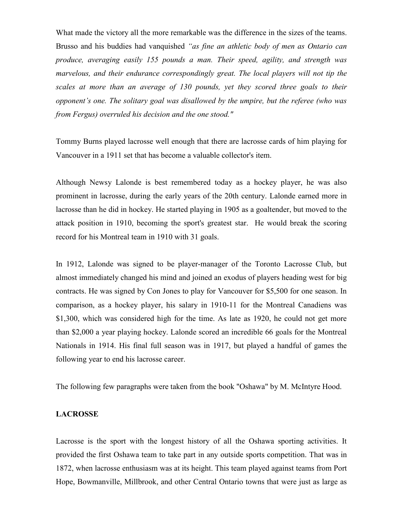What made the victory all the more remarkable was the difference in the sizes of the teams. Brusso and his buddies had vanquished *"as fine an athletic body of men as Ontario can produce, averaging easily 155 pounds a man. Their speed, agility, and strength was marvelous, and their endurance correspondingly great. The local players will not tip the scales at more than an average of 130 pounds, yet they scored three goals to their opponent's one. The solitary goal was disallowed by the umpire, but the referee (who was from Fergus) overruled his decision and the one stood."* 

Tommy Burns played lacrosse well enough that there are lacrosse cards of him playing for Vancouver in a 1911 set that has become a valuable collector's item.

Although Newsy Lalonde is best remembered today as a hockey player, he was also prominent in lacrosse, during the early years of the 20th century. Lalonde earned more in lacrosse than he did in hockey. He started playing in 1905 as a goaltender, but moved to the attack position in 1910, becoming the sport's greatest star. He would break the scoring record for his Montreal team in 1910 with 31 goals.

In 1912, Lalonde was signed to be player-manager of the Toronto Lacrosse Club, but almost immediately changed his mind and joined an exodus of players heading west for big contracts. He was signed by Con Jones to play for Vancouver for \$5,500 for one season. In comparison, as a hockey player, his salary in 1910-11 for the Montreal Canadiens was \$1,300, which was considered high for the time. As late as 1920, he could not get more than \$2,000 a year playing hockey. Lalonde scored an incredible 66 goals for the Montreal Nationals in 1914. His final full season was in 1917, but played a handful of games the following year to end his lacrosse career.

The following few paragraphs were taken from the book "Oshawa" by M. McIntyre Hood.

#### **LACROSSE**

Lacrosse is the sport with the longest history of all the Oshawa sporting activities. It provided the first Oshawa team to take part in any outside sports competition. That was in 1872, when lacrosse enthusiasm was at its height. This team played against teams from Port Hope, Bowmanville, Millbrook, and other Central Ontario towns that were just as large as